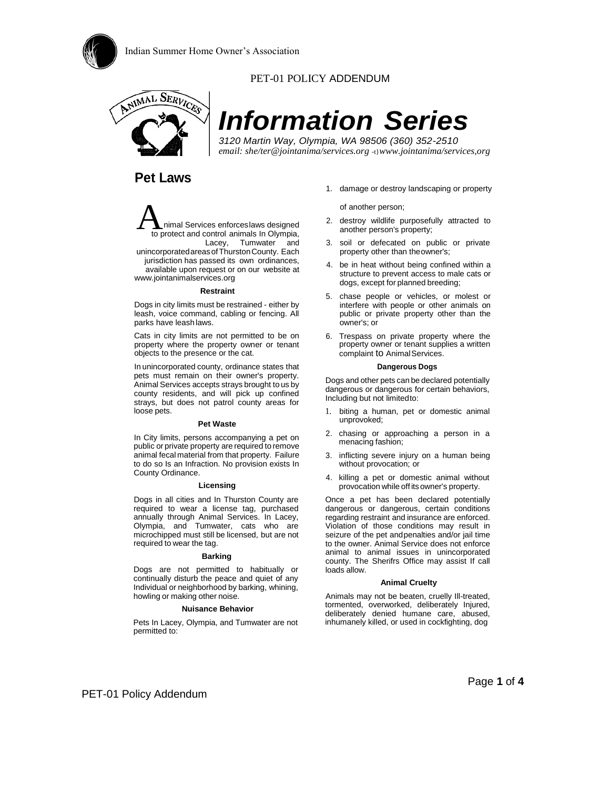

#### PET-01 POLICY ADDENDUM



# *Information Series*

*3120 Martin Way, Olympia, WA 98506 (360) 352-2510 email: she/ter@jointanima/services.org* -t}*www.jointanima/services,org*

### **Pet Laws**

nimal Services enforceslaws designed to protect and control animals In Olympia, Lacey, Tumwater and unincorporatedareasofThurstonCounty. Each jurisdiction has passed its own ordinances, available upon request or on our website at  $\overline{A}$ 

[www.jointanimalservices.org](http://www.jointanimalservices.org/)

#### **Restraint**

Dogs in city limits must be restrained - either by leash, voice command, cabling or fencing. All parks have leash laws.

Cats in city limits are not permitted to be on property where the property owner or tenant objects to the presence or the cat.

In unincorporated county, ordinance states that pets must remain on their owner's property. Animal Services accepts strays brought to us by county residents, and will pick up confined strays, but does not patrol county areas for loose pets.

#### **Pet Waste**

In City limits, persons accompanying a pet on public or private property are required to remove animal fecal material from that property. Failure to do so Is an Infraction. No provision exists In County Ordinance.

#### **Licensing**

Dogs in all cities and In Thurston County are required to wear a license tag, purchased annually through Animal Services. In Lacey, Olympia, and Tumwater, cats who are microchipped must still be licensed, but are not required to wear the tag.

#### **Barking**

Dogs are not permitted to habitually or continually disturb the peace and quiet of any Individual or neighborhood by barking, whining, howling or making other noise.

#### **Nuisance Behavior**

Pets In Lacey, Olympia, and Tumwater are not permitted to:

1. damage or destroy landscaping or property

of another person;

- 2. destroy wildlife purposefully attracted to another person's property;
- 3. soil or defecated on public or private property other than theowner's;
- 4. be in heat without being confined within a structure to prevent access to male cats or dogs, except for planned breeding;
- 5. chase people or vehicles, or molest or interfere with people or other animals on public or private property other than the owner's; or
- 6. Trespass on private property where the property owner or tenant supplies a written complaint to Animal Services.

#### **Dangerous Dogs**

Dogs and other pets can be declared potentially dangerous or dangerous for certain behaviors, Including but not limitedto:

- 1. biting a human, pet or domestic animal unprovoked;
- 2. chasing or approaching a person in a menacing fashion;
- 3. inflicting severe injury on a human being without provocation; or
- 4. killing a pet or domestic animal without provocation while off its owner's property.

Once a pet has been declared potentially dangerous or dangerous, certain conditions regarding restraint and insurance are enforced. Violation of those conditions may result in seizure of the pet andpenalties and/or jail time to the owner. Animal Service does not enforce animal to animal issues in unincorporated county. The Sherifrs Office may assist If call loads allow.

#### **Animal Cruelty**

Animals may not be beaten, cruelly Ill-treated, tormented, overworked, deliberately Injured, deliberately denied humane care, abused, inhumanely killed, or used in cockfighting, dog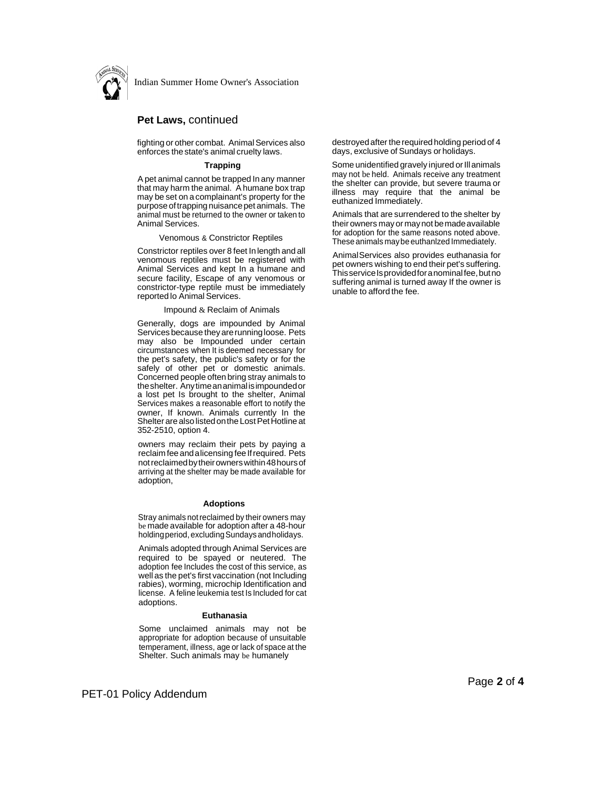

Indian Summer Home Owner's Association

#### **Pet Laws,** continued

fighting or other combat. Animal Services also enforces thestate's animal cruelty laws.

#### **Trapping**

Apet animal cannot be trapped In any manner that may harm the animal. A humane box trap may be set on a complainant's property for the purpose of trapping nuisance pet animals. The animal must be returned to the owner or taken to Animal Services.

Venomous & Constrictor Reptiles

Constrictor reptiles over 8 feet In length and all venomous reptiles must be registered with Animal Services and kept In a humane and secure facility, Escape of any venomous or constrictor-type reptile must be immediately reported lo Animal Services.

#### Impound & Reclaim of Animals

Generally, dogs are impounded by Animal Services because they are running loose. Pets may also be Impounded under certain circumstances when It is deemed necessary for the pet's safety, the public's safety or for the safely of other pet or domestic animals. Concerned people often bring stray animals to theshelter. Anytimeananimal isimpoundedor a lost pet Is brought to the shelter, Animal Services makes a reasonable effort to notify the owner, If known. Animals currently In the Shelter are also listed on the Lost Pet Hotline at 352-2510, option 4.

owners may reclaim their pets by paying a reclaim fee and alicensing fee If required. Pets notreclaimedbytheirownerswithin48hoursof arriving at the shelter may be made available for adoption,

#### **Adoptions**

Stray animals not reclaimed by their owners may be made available for adoption after a 48-hour holdingperiod,excludingSundays andholidays.

Animals adopted through Animal Services are required to be spayed or neutered. The adoption fee Includes the cost of this service, as well as the pet's first vaccination (not Including rabies), worming, microchip Identification and license. A feline leukemia test Is Included for cat adoptions.

#### **Euthanasia**

Some unclaimed animals may not be appropriate for adoption because of unsuitable temperament, illness, age or lack of space at the Shelter. Such animals may be humanely

destroyed after the required holding period of 4 days, exclusive of Sundays or holidays.

Some unidentified gravely injured or Ill animals may not be held. Animals receive any treatment the shelter can provide, but severe trauma or illness may require that the animal be euthanized Immediately.

Animals that are surrendered to the shelter by their owners mayor maynot bemadeavailable for adoption for the same reasons noted above. These animals maybe euthanlzed Immediately.

AnimalServices also provides euthanasia for pet owners wishing to end their pet's suffering. ThisserviceIsprovidedforanominalfee,butno suffering animal is turned away If the owner is unable to afford the fee.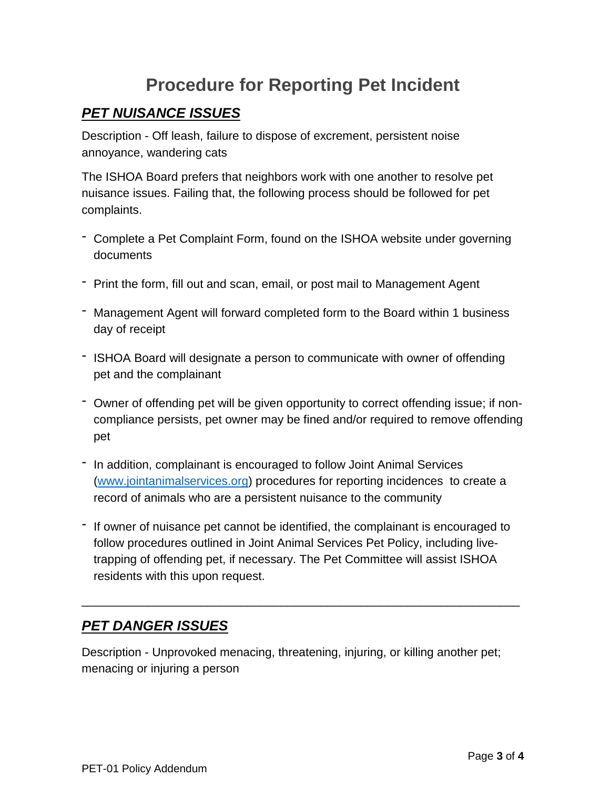# **Procedure for Reporting Pet Incident**

## *PET NUISANCE ISSUES*

Description - Off leash, failure to dispose of excrement, persistent noise annoyance, wandering cats

The ISHOA Board prefers that neighbors work with one another to resolve pet nuisance issues. Failing that, the following process should be followed for pet complaints.

- Complete a Pet Complaint Form, found on the ISHOA website under governing documents
- Print the form, fill out and scan, email, or post mail to Management Agent
- Management Agent will forward completed form to the Board within 1 business day of receipt
- ISHOA Board will designate a person to communicate with owner of offending pet and the complainant
- Owner of offending pet will be given opportunity to correct offending issue; if noncompliance persists, pet owner may be fined and/or required to remove offending pet
- In addition, complainant is encouraged to follow Joint Animal Services [\(www.jointanimalservices.org\)](http://www.jointanimalservices.org/) procedures for reporting incidences to create a record of animals who are a persistent nuisance to the community
- If owner of nuisance pet cannot be identified, the complainant is encouraged to follow procedures outlined in Joint Animal Services Pet Policy, including livetrapping of offending pet, if necessary. The Pet Committee will assist ISHOA residents with this upon request.

\_\_\_\_\_\_\_\_\_\_\_\_\_\_\_\_\_\_\_\_\_\_\_\_\_\_\_\_\_\_\_\_\_\_\_\_\_\_\_\_\_\_\_\_\_\_\_\_\_\_\_\_\_\_\_\_\_\_\_\_\_\_\_\_\_\_

# *PET DANGER ISSUES*

Description - Unprovoked menacing, threatening, injuring, or killing another pet; menacing or injuring a person